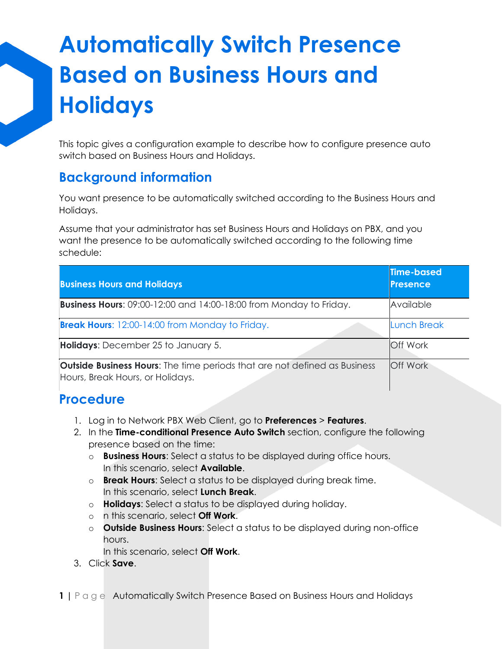# **Automatically Switch Presence Based on Business Hours and Holidays**

This topic gives a configuration example to describe how to configure presence auto switch based on Business Hours and Holidays.

### **Background information**

You want presence to be automatically switched according to the Business Hours and Holidays.

Assume that your administrator has set Business Hours and Holidays on PBX, and you want the presence to be automatically switched according to the following time schedule:

| <b>Business Hours and Holidays</b>                                                                                   | <b>Time-based</b><br>Presence |
|----------------------------------------------------------------------------------------------------------------------|-------------------------------|
| <b>Business Hours:</b> 09:00-12:00 and 14:00-18:00 from Monday to Friday.                                            | Available                     |
| <b>Break Hours:</b> 12:00-14:00 from Monday to Friday.                                                               | <b>Lunch Break</b>            |
| Holidays: December 25 to January 5.                                                                                  | <b>Off Work</b>               |
| <b>Outside Business Hours:</b> The time periods that are not defined as Business<br>Hours, Break Hours, or Holidays. | <b>Off Work</b>               |

### **Procedure**

- 1. Log in to Network PBX Web Client, go to **Preferences** > **Features**.
- 2. In the **Time-conditional Presence Auto Switch** section, configure the following presence based on the time:
	- o **Business Hours**: Select a status to be displayed during office hours. In this scenario, select **Available**.
	- o **Break Hours**: Select a status to be displayed during break time. In this scenario, select **Lunch Break**.
	- o **Holidays**: Select a status to be displayed during holiday.
	- o n this scenario, select **Off Work**.
	- o **Outside Business Hours**: Select a status to be displayed during non-office hours.

In this scenario, select **Off Work**.

3. Click **Save**.

**1 |** P a g e Automatically Switch Presence Based on Business Hours and Holidays